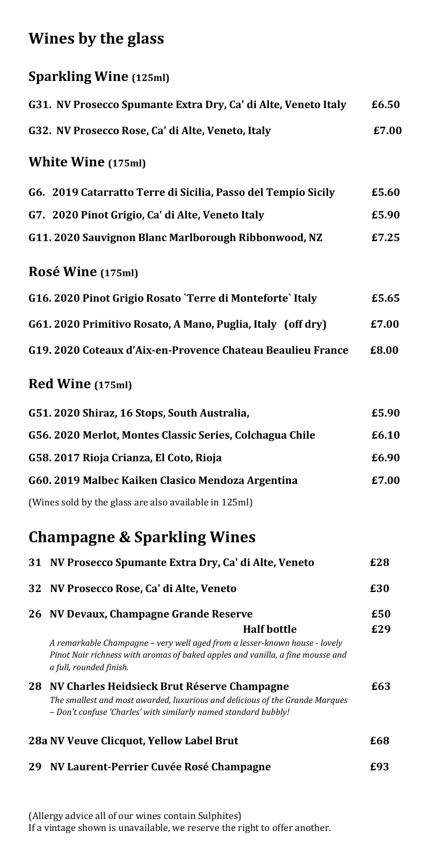# **Wines by the glass**

|     | <b>Sparkling Wine (125ml)</b>                                                                                                                                                                  |       |
|-----|------------------------------------------------------------------------------------------------------------------------------------------------------------------------------------------------|-------|
|     | G31. NV Prosecco Spumante Extra Dry, Ca' di Alte, Veneto Italy                                                                                                                                 | £6.50 |
|     | G32. NV Prosecco Rose, Ca' di Alte, Veneto, Italy                                                                                                                                              | £7.00 |
|     | <b>White Wine (175ml)</b>                                                                                                                                                                      |       |
|     | G6. 2019 Catarratto Terre di Sicilia, Passo del Tempio Sicily                                                                                                                                  | £5.60 |
|     | G7. 2020 Pinot Grigio, Ca' di Alte, Veneto Italy                                                                                                                                               | £5.90 |
|     | G11. 2020 Sauvignon Blanc Marlborough Ribbonwood, NZ                                                                                                                                           | £7.25 |
|     | Rosé Wine (175ml)                                                                                                                                                                              |       |
|     | G16. 2020 Pinot Grigio Rosato `Terre di Monteforte` Italy                                                                                                                                      | £5.65 |
|     | G61. 2020 Primitivo Rosato, A Mano, Puglia, Italy (off dry)                                                                                                                                    | £7.00 |
|     | G19. 2020 Coteaux d'Aix-en-Provence Chateau Beaulieu France                                                                                                                                    | £8.00 |
|     | <b>Red Wine (175ml)</b>                                                                                                                                                                        |       |
|     | G51. 2020 Shiraz, 16 Stops, South Australia,                                                                                                                                                   | £5.90 |
|     | G56. 2020 Merlot, Montes Classic Series, Colchagua Chile                                                                                                                                       | £6.10 |
|     | G58. 2017 Rioja Crianza, El Coto, Rioja                                                                                                                                                        | £6.90 |
|     | G60. 2019 Malbec Kaiken Clasico Mendoza Argentina                                                                                                                                              | £7.00 |
|     | (Wines sold by the glass are also available in 125ml)                                                                                                                                          |       |
|     | <b>Champagne &amp; Sparkling Wines</b>                                                                                                                                                         |       |
| 31  | NV Prosecco Spumante Extra Dry, Ca' di Alte, Veneto                                                                                                                                            | £28   |
| 32  | NV Prosecco Rose, Ca' di Alte, Veneto                                                                                                                                                          | £30   |
| 26  | NV Devaux, Champagne Grande Reserve                                                                                                                                                            | £50   |
|     | <b>Half bottle</b>                                                                                                                                                                             | £29   |
|     | A remarkable Champagne - very well aged from a lesser-known house - lovely<br>Pinot Noir richness with aromas of baked apples and vanilla, a fine mousse and<br>a full, rounded finish.        |       |
| 28. | NV Charles Heidsieck Brut Réserve Champagne<br>The smallest and most awarded, luxurious and delicious of the Grande Marques<br>- Don't confuse 'Charles' with similarly named standard bubbly! | £63   |

# **28a NV Veuve Clicquot, Yellow Label Brut £68 29 NV Laurent-Perrier Cuvée Rosé Champagne £93**

(Allergy advice all of our wines contain Sulphites) If a vintage shown is unavailable, we reserve the right to offer another.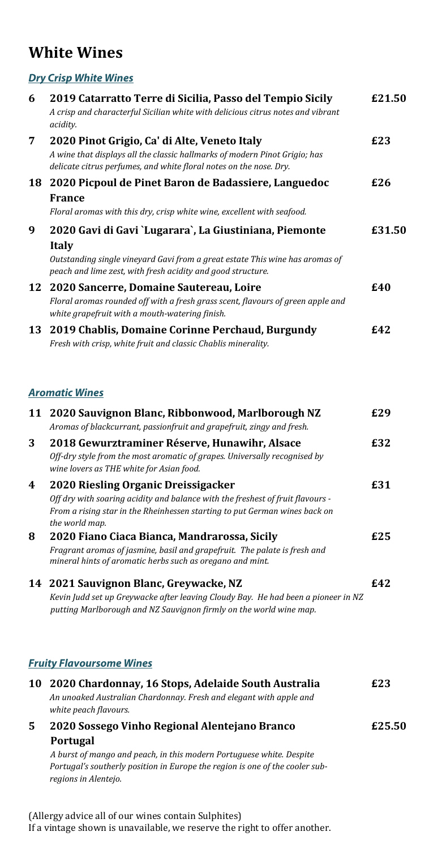### **White Wines**

#### *Dry Crisp White Wines*

| 6  | 2019 Catarratto Terre di Sicilia, Passo del Tempio Sicily<br>A crisp and characterful Sicilian white with delicious citrus notes and vibrant<br>acidity.                                                              | £21.50 |
|----|-----------------------------------------------------------------------------------------------------------------------------------------------------------------------------------------------------------------------|--------|
| 7  | 2020 Pinot Grigio, Ca' di Alte, Veneto Italy<br>A wine that displays all the classic hallmarks of modern Pinot Grigio; has<br>delicate citrus perfumes, and white floral notes on the nose. Dry.                      | £23    |
| 18 | 2020 Picpoul de Pinet Baron de Badassiere, Languedoc<br><b>France</b><br>Floral aromas with this dry, crisp white wine, excellent with seafood.                                                                       | £26    |
| 9  | 2020 Gavi di Gavi `Lugarara`, La Giustiniana, Piemonte<br><b>Italy</b><br>Outstanding single vineyard Gavi from a great estate This wine has aromas of<br>peach and lime zest, with fresh acidity and good structure. | £31.50 |
| 12 | 2020 Sancerre, Domaine Sautereau, Loire<br>Floral aromas rounded off with a fresh grass scent, flavours of green apple and<br>white grapefruit with a mouth-watering finish.                                          | £40    |
| 13 | 2019 Chablis, Domaine Corinne Perchaud, Burgundy<br>Fresh with crisp, white fruit and classic Chablis minerality.                                                                                                     | £42    |
|    | <b>Aromatic Wines</b>                                                                                                                                                                                                 |        |
| 11 | 2020 Sauvignon Blanc, Ribbonwood, Marlborough NZ<br>Aromas of blackcurrant, passionfruit and grapefruit, zingy and fresh.                                                                                             | £29    |
| 3  | 2018 Gewurztraminer Réserve, Hunawihr, Alsace<br>Off-dry style from the most aromatic of grapes. Universally recognised by<br>wine lovers as THE white for Asian food.                                                | £32    |
| 4  | 2020 Riesling Organic Dreissigacker<br>Off dry with soaring acidity and balance with the freshest of fruit flavours -<br>From a rising star in the Rheinhessen starting to put German wines back on<br>the world map. | £31    |
| 8  | 2020 Fiano Ciaca Bianca, Mandrarossa, Sicily<br>Fragrant aromas of jasmine, basil and grapefruit. The palate is fresh and<br>mineral hints of aromatic herbs such as oregano and mint.                                | £25    |
|    | 14 2021 Sauvignon Blanc, Greywacke, NZ<br>Kevin Judd set up Greywacke after leaving Cloudy Bay. He had been a pioneer in NZ<br>putting Marlborough and NZ Sauvignon firmly on the world wine map.                     | £42    |
|    | <b>Fruity Flavoursome Wines</b>                                                                                                                                                                                       |        |
|    | 10 2020 Chardonnay, 16 Stops, Adelaide South Australia<br>An unoaked Australian Chardonnay. Fresh and elegant with apple and<br>white peach flavours.                                                                 | £23    |
| 5  | 2020 Sossego Vinho Regional Alentejano Branco                                                                                                                                                                         | £25.50 |
|    | Portugal<br>A burst of mango and peach, in this modern Portuguese white. Despite<br>Portugal's southerly position in Europe the region is one of the cooler sub-<br>regions in Alentejo.                              |        |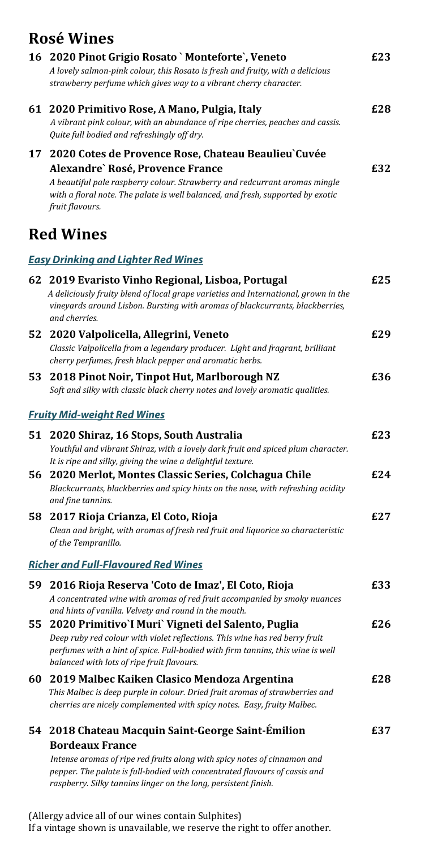## **Rosé Wines**

|    | 16 2020 Pinot Grigio Rosato `Monteforte`, Veneto<br>A lovely salmon-pink colour, this Rosato is fresh and fruity, with a delicious<br>strawberry perfume which gives way to a vibrant cherry character.                                                                                                   | £23 |
|----|-----------------------------------------------------------------------------------------------------------------------------------------------------------------------------------------------------------------------------------------------------------------------------------------------------------|-----|
|    | 61 2020 Primitivo Rose, A Mano, Pulgia, Italy<br>A vibrant pink colour, with an abundance of ripe cherries, peaches and cassis.<br>Quite full bodied and refreshingly off dry.                                                                                                                            | £28 |
| 17 | 2020 Cotes de Provence Rose, Chateau Beaulieu Cuvée<br>Alexandre`Rosé, Provence France<br>A beautiful pale raspberry colour. Strawberry and redcurrant aromas mingle<br>with a floral note. The palate is well balanced, and fresh, supported by exotic<br>fruit flavours.                                | £32 |
|    | <b>Red Wines</b>                                                                                                                                                                                                                                                                                          |     |
|    | <b>Easy Drinking and Lighter Red Wines</b>                                                                                                                                                                                                                                                                |     |
|    | 62 2019 Evaristo Vinho Regional, Lisboa, Portugal<br>A deliciously fruity blend of local grape varieties and International, grown in the<br>vineyards around Lisbon. Bursting with aromas of blackcurrants, blackberries,<br>and cherries.                                                                | £25 |
| 52 | 2020 Valpolicella, Allegrini, Veneto<br>Classic Valpolicella from a legendary producer. Light and fragrant, brilliant<br>cherry perfumes, fresh black pepper and aromatic herbs.                                                                                                                          | £29 |
|    | 53 2018 Pinot Noir, Tinpot Hut, Marlborough NZ<br>Soft and silky with classic black cherry notes and lovely aromatic qualities.                                                                                                                                                                           | £36 |
|    | <b>Fruity Mid-weight Red Wines</b>                                                                                                                                                                                                                                                                        |     |
|    | 51 2020 Shiraz, 16 Stops, South Australia<br>Youthful and vibrant Shiraz, with a lovely dark fruit and spiced plum character.<br>It is ripe and silky, giving the wine a delightful texture.                                                                                                              | £23 |
| 56 | 2020 Merlot, Montes Classic Series, Colchagua Chile<br>Blackcurrants, blackberries and spicy hints on the nose, with refreshing acidity<br>and fine tannins.                                                                                                                                              | £24 |
| 58 | 2017 Rioja Crianza, El Coto, Rioja<br>Clean and bright, with aromas of fresh red fruit and liquorice so characteristic<br>of the Tempranillo.                                                                                                                                                             | £27 |
|    | <b>Richer and Full-Flavoured Red Wines</b>                                                                                                                                                                                                                                                                |     |
| 59 | 2016 Rioja Reserva 'Coto de Imaz', El Coto, Rioja<br>A concentrated wine with aromas of red fruit accompanied by smoky nuances<br>and hints of vanilla. Velvety and round in the mouth.                                                                                                                   | £33 |
|    | 55 2020 Primitivo'l Muri' Vigneti del Salento, Puglia<br>Deep ruby red colour with violet reflections. This wine has red berry fruit<br>perfumes with a hint of spice. Full-bodied with firm tannins, this wine is well<br>balanced with lots of ripe fruit flavours.                                     | £26 |
| 60 | 2019 Malbec Kaiken Clasico Mendoza Argentina<br>This Malbec is deep purple in colour. Dried fruit aromas of strawberries and<br>cherries are nicely complemented with spicy notes. Easy, fruity Malbec.                                                                                                   | £28 |
|    | 54 2018 Chateau Macquin Saint-George Saint-Émilion<br><b>Bordeaux France</b><br>Intense aromas of ripe red fruits along with spicy notes of cinnamon and<br>pepper. The palate is full-bodied with concentrated flavours of cassis and<br>raspberry. Silky tannins linger on the long, persistent finish. | £37 |

(Allergy advice all of our wines contain Sulphites) If a vintage shown is unavailable, we reserve the right to offer another.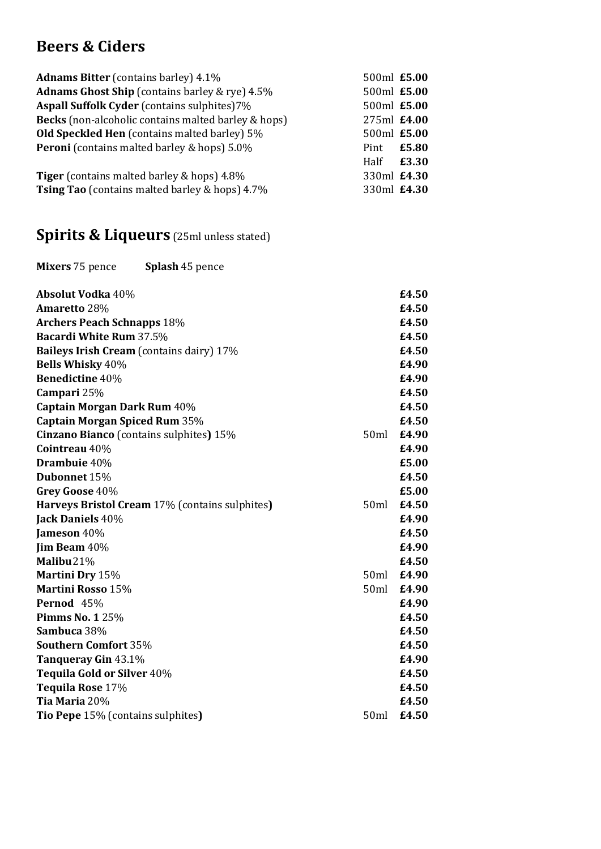# **Beers & Ciders**

| <b>Adnams Bitter</b> (contains barley) 4.1%           | 500ml £5.00 |             |
|-------------------------------------------------------|-------------|-------------|
| <b>Adnams Ghost Ship</b> (contains barley & rye) 4.5% |             | 500ml £5.00 |
| Aspall Suffolk Cyder (contains sulphites)7%           | 500ml £5.00 |             |
| Becks (non-alcoholic contains malted barley & hops)   | 275ml £4.00 |             |
| Old Speckled Hen (contains malted barley) 5%          | 500ml £5.00 |             |
| Peroni (contains malted barley & hops) 5.0%           | Pint        | £5.80       |
|                                                       | Half        | £3.30       |
| <b>Tiger</b> (contains malted barley & hops) 4.8%     | 330ml £4.30 |             |
| Tsing Tao (contains malted barley & hops) 4.7%        |             | 330ml £4.30 |
| <b>Spirits &amp; Liqueurs</b> (25ml unless stated)    |             |             |
| Mixers 75 pence<br><b>Splash 45 pence</b>             |             |             |
| <b>Absolut Vodka 40%</b>                              |             | £4.50       |
| Amaretto 28%                                          |             | £4.50       |
| <b>Archers Peach Schnapps 18%</b>                     |             | £4.50       |
| <b>Bacardi White Rum 37.5%</b>                        |             | £4.50       |
| <b>Baileys Irish Cream</b> (contains dairy) 17%       |             | £4.50       |
| <b>Bells Whisky 40%</b>                               |             | £4.90       |
| <b>Benedictine 40%</b>                                |             | £4.90       |
| Campari 25%                                           |             | £4.50       |
| Captain Morgan Dark Rum 40%                           |             | £4.50       |
| <b>Captain Morgan Spiced Rum 35%</b>                  |             | £4.50       |
| Cinzano Bianco (contains sulphites) 15%               | 50ml        | £4.90       |
| Cointreau 40%                                         |             | £4.90       |
| Drambuie 40%                                          |             | £5.00       |
| Dubonnet 15%                                          |             | £4.50       |
| Grey Goose 40%                                        |             | £5.00       |
| Harveys Bristol Cream 17% (contains sulphites)        | 50ml        | £4.50       |
| Jack Daniels 40%                                      |             | £4.90       |
| Jameson 40%                                           |             | £4.50       |
| Jim Beam 40%                                          |             | £4.90       |
| Malibu <sub>21</sub> %                                |             | £4.50       |
| Martini Dry 15%                                       | 50ml        | £4.90       |
| <b>Martini Rosso 15%</b>                              | 50ml        | £4.90       |
| Pernod 45%                                            |             | £4.90       |
| <b>Pimms No. 1 25%</b>                                |             | £4.50       |
| Sambuca 38%                                           |             | £4.50       |
| <b>Southern Comfort 35%</b>                           |             | £4.50       |
| Tanqueray Gin 43.1%                                   |             | £4.90       |
| Tequila Gold or Silver 40%                            |             | £4.50       |
| Tequila Rose 17%                                      |             | £4.50       |
| Tia Maria 20%                                         |             | £4.50       |
| Tio Pepe 15% (contains sulphites)                     | 50ml        | £4.50       |